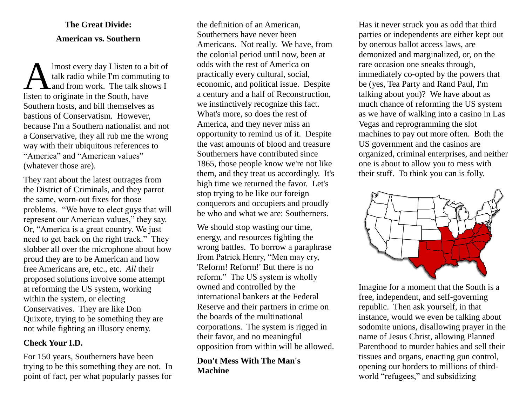### **The Great Divide: American vs. Southern**

lmost every day I listen to a bit of talk radio while I'm commuting to and from work. The talk shows I lmost every day I listen to a<br>talk radio while I'm commut<br>listen to originate in the South, have Southern hosts, and bill themselves as bastions of Conservatism. However, because I'm a Southern nationalist and not a Conservative, they all rub me the wrong way with their ubiquitous references to "America" and "American values" (whatever those are).

They rant about the latest outrages from the District of Criminals, and they parrot the same, worn-out fixes for those problems. "We have to elect guys that will represent our American values," they say. Or, "America is a great country. We just need to get back on the right track." They slobber all over the microphone about how proud they are to be American and how free Americans are, etc., etc. *All* their proposed solutions involve some attempt at reforming the US system, working within the system, or electing Conservatives. They are like Don Quixote, trying to be something they are not while fighting an illusory enemy.

#### **Check Your I.D.**

For 150 years, Southerners have been trying to be this something they are not. In point of fact, per what popularly passes for

the definition of an American, Southerners have never been Americans. Not really. We have, from the colonial period until now, been at odds with the rest of America on practically every cultural, social, economic, and political issue. Despite a century and a half of Reconstruction, we instinctively recognize this fact. What's more, so does the rest of America, and they never miss an opportunity to remind us of it. Despite the vast amounts of blood and treasure Southerners have contributed since 1865, those people know we're not like them, and they treat us accordingly. It's high time we returned the favor. Let's stop trying to be like our foreign conquerors and occupiers and proudly be who and what we are: Southerners.

We should stop wasting our time, energy, and resources fighting the wrong battles. To borrow a paraphrase from Patrick Henry, "Men may cry, 'Reform! Reform!' But there is no reform." The US system is wholly owned and controlled by the international bankers at the Federal Reserve and their partners in crime on the boards of the multinational corporations. The system is rigged in their favor, and no meaningful opposition from within will be allowed.

#### **Don't Mess With The Man's Machine**

Has it never struck you as odd that third parties or independents are either kept out by onerous ballot access laws, are demonized and marginalized, or, on the rare occasion one sneaks through, immediately co-opted by the powers that be (yes, Tea Party and Rand Paul, I'm talking about you)? We have about as much chance of reforming the US system as we have of walking into a casino in Las Vegas and reprogramming the slot machines to pay out more often. Both the US government and the casinos are organized, criminal enterprises, and neither one is about to allow you to mess with their stuff. To think you can is folly.



Imagine for a moment that the South is a free, independent, and self-governing republic. Then ask yourself, in that instance, would we even be talking about sodomite unions, disallowing prayer in the name of Jesus Christ, allowing Planned Parenthood to murder babies and sell their tissues and organs, enacting gun control, opening our borders to millions of thirdworld "refugees," and subsidizing